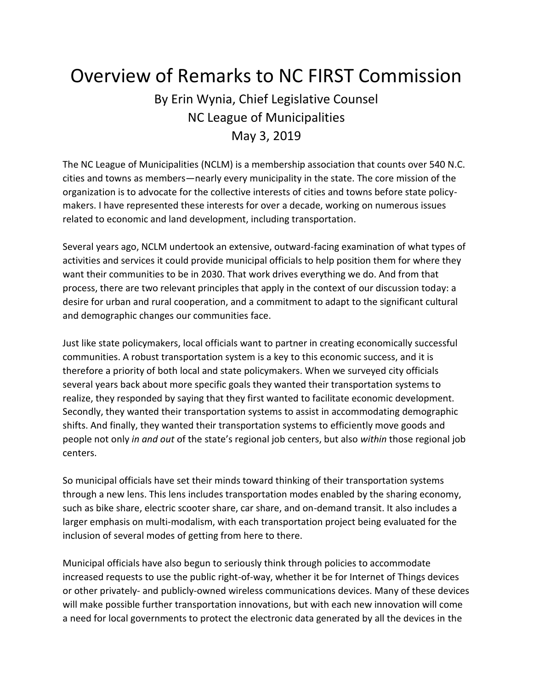## Overview of Remarks to NC FIRST Commission

## By Erin Wynia, Chief Legislative Counsel NC League of Municipalities May 3, 2019

The NC League of Municipalities (NCLM) is a membership association that counts over 540 N.C. cities and towns as members—nearly every municipality in the state. The core mission of the organization is to advocate for the collective interests of cities and towns before state policymakers. I have represented these interests for over a decade, working on numerous issues related to economic and land development, including transportation.

Several years ago, NCLM undertook an extensive, outward-facing examination of what types of activities and services it could provide municipal officials to help position them for where they want their communities to be in 2030. That work drives everything we do. And from that process, there are two relevant principles that apply in the context of our discussion today: a desire for urban and rural cooperation, and a commitment to adapt to the significant cultural and demographic changes our communities face.

Just like state policymakers, local officials want to partner in creating economically successful communities. A robust transportation system is a key to this economic success, and it is therefore a priority of both local and state policymakers. When we surveyed city officials several years back about more specific goals they wanted their transportation systems to realize, they responded by saying that they first wanted to facilitate economic development. Secondly, they wanted their transportation systems to assist in accommodating demographic shifts. And finally, they wanted their transportation systems to efficiently move goods and people not only *in and out* of the state's regional job centers, but also *within* those regional job centers.

So municipal officials have set their minds toward thinking of their transportation systems through a new lens. This lens includes transportation modes enabled by the sharing economy, such as bike share, electric scooter share, car share, and on-demand transit. It also includes a larger emphasis on multi-modalism, with each transportation project being evaluated for the inclusion of several modes of getting from here to there.

Municipal officials have also begun to seriously think through policies to accommodate increased requests to use the public right-of-way, whether it be for Internet of Things devices or other privately- and publicly-owned wireless communications devices. Many of these devices will make possible further transportation innovations, but with each new innovation will come a need for local governments to protect the electronic data generated by all the devices in the